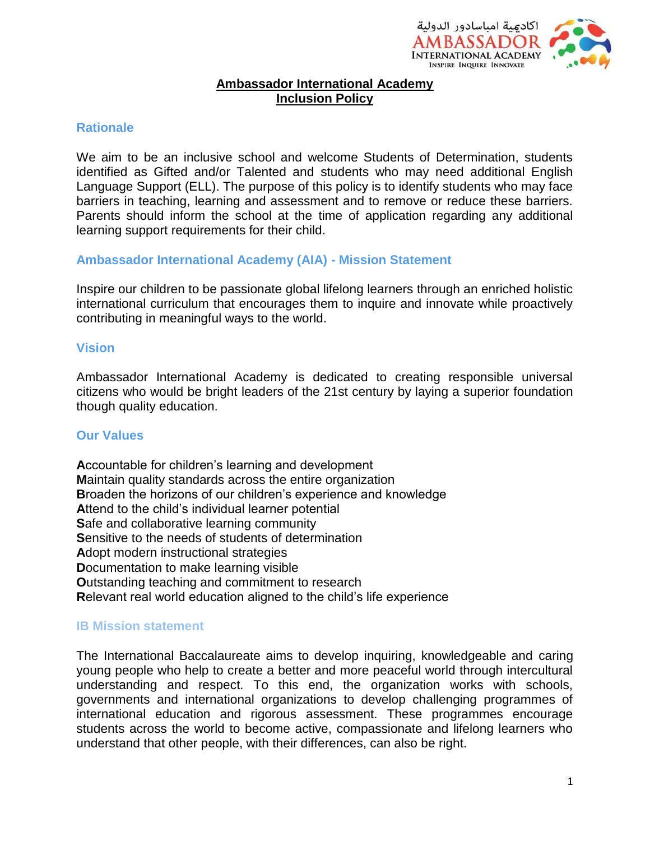

### **Ambassador International Academy Inclusion Policy**

#### **Rationale**

We aim to be an inclusive school and welcome Students of Determination, students identified as Gifted and/or Talented and students who may need additional English Language Support (ELL). The purpose of this policy is to identify students who may face barriers in teaching, learning and assessment and to remove or reduce these barriers. Parents should inform the school at the time of application regarding any additional learning support requirements for their child.

#### **Ambassador International Academy (AIA) - Mission Statement**

Inspire our children to be passionate global lifelong learners through an enriched holistic international curriculum that encourages them to inquire and innovate while proactively contributing in meaningful ways to the world.

#### **Vision**

Ambassador International Academy is dedicated to creating responsible universal citizens who would be bright leaders of the 21st century by laying a superior foundation though quality education.

#### **Our Values**

**A**ccountable for children's learning and development **M**aintain quality standards across the entire organization **B**roaden the horizons of our children's experience and knowledge **A**ttend to the child's individual learner potential **S**afe and collaborative learning community **S**ensitive to the needs of students of determination **A**dopt modern instructional strategies **D**ocumentation to make learning visible **O**utstanding teaching and commitment to research **R**elevant real world education aligned to the child's life experience

### **IB Mission statement**

The International Baccalaureate aims to develop inquiring, knowledgeable and caring young people who help to create a better and more peaceful world through intercultural understanding and respect. To this end, the organization works with schools, governments and international organizations to develop challenging programmes of international education and rigorous assessment. These programmes encourage students across the world to become active, compassionate and lifelong learners who understand that other people, with their differences, can also be right.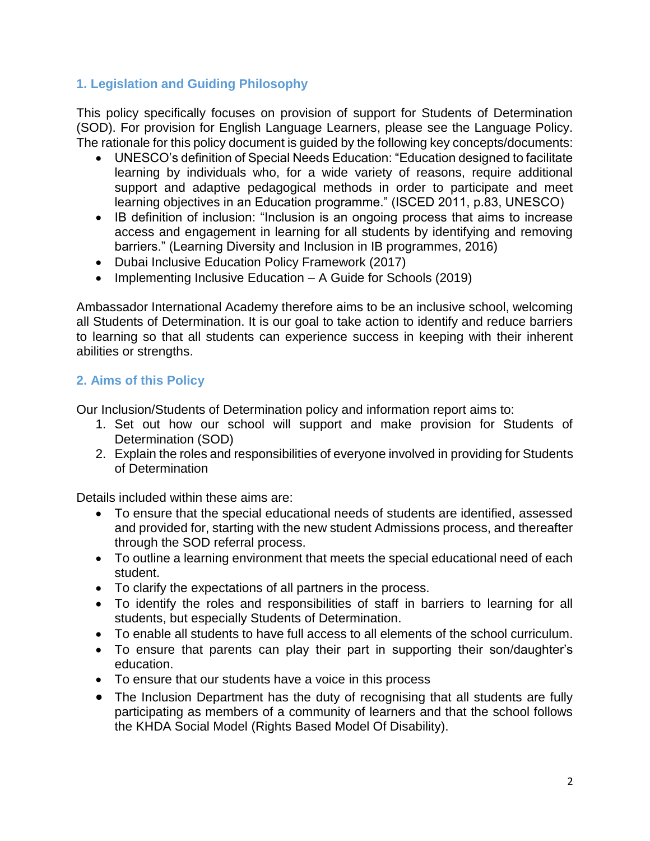# **1. Legislation and Guiding Philosophy**

This policy specifically focuses on provision of support for Students of Determination (SOD). For provision for English Language Learners, please see the Language Policy. The rationale for this policy document is guided by the following key concepts/documents:

- UNESCO's definition of Special Needs Education: "Education designed to facilitate learning by individuals who, for a wide variety of reasons, require additional support and adaptive pedagogical methods in order to participate and meet learning objectives in an Education programme." (ISCED 2011, p.83, UNESCO)
- IB definition of inclusion: "Inclusion is an ongoing process that aims to increase access and engagement in learning for all students by identifying and removing barriers." (Learning Diversity and Inclusion in IB programmes, 2016)
- Dubai Inclusive Education Policy Framework (2017)
- Implementing Inclusive Education A Guide for Schools (2019)

Ambassador International Academy therefore aims to be an inclusive school, welcoming all Students of Determination. It is our goal to take action to identify and reduce barriers to learning so that all students can experience success in keeping with their inherent abilities or strengths.

# **2. Aims of this Policy**

Our Inclusion/Students of Determination policy and information report aims to:

- 1. Set out how our school will support and make provision for Students of Determination (SOD)
- 2. Explain the roles and responsibilities of everyone involved in providing for Students of Determination

Details included within these aims are:

- To ensure that the special educational needs of students are identified, assessed and provided for, starting with the new student Admissions process, and thereafter through the SOD referral process.
- To outline a learning environment that meets the special educational need of each student.
- To clarify the expectations of all partners in the process.
- To identify the roles and responsibilities of staff in barriers to learning for all students, but especially Students of Determination.
- To enable all students to have full access to all elements of the school curriculum.
- To ensure that parents can play their part in supporting their son/daughter's education.
- To ensure that our students have a voice in this process
- The Inclusion Department has the duty of recognising that all students are fully participating as members of a community of learners and that the school follows the KHDA Social Model (Rights Based Model Of Disability).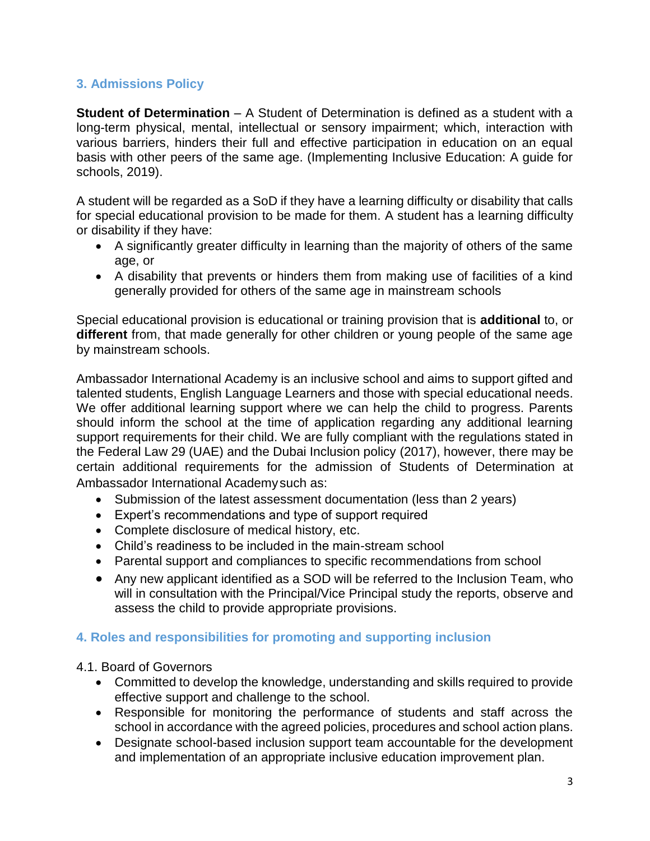# **3. Admissions Policy**

**Student of Determination** – A Student of Determination is defined as a student with a long-term physical, mental, intellectual or sensory impairment; which, interaction with various barriers, hinders their full and effective participation in education on an equal basis with other peers of the same age. (Implementing Inclusive Education: A guide for schools, 2019).

A student will be regarded as a SoD if they have a learning difficulty or disability that calls for special educational provision to be made for them. A student has a learning difficulty or disability if they have:

- A significantly greater difficulty in learning than the majority of others of the same age, or
- A disability that prevents or hinders them from making use of facilities of a kind generally provided for others of the same age in mainstream schools

Special educational provision is educational or training provision that is **additional** to, or **different** from, that made generally for other children or young people of the same age by mainstream schools.

Ambassador International Academy is an inclusive school and aims to support gifted and talented students, English Language Learners and those with special educational needs. We offer additional learning support where we can help the child to progress. Parents should inform the school at the time of application regarding any additional learning support requirements for their child. We are fully compliant with the regulations stated in the Federal Law 29 (UAE) and the Dubai Inclusion policy (2017), however, there may be certain additional requirements for the admission of Students of Determination at Ambassador International Academysuch as:

- Submission of the latest assessment documentation (less than 2 years)
- Expert's recommendations and type of support required
- Complete disclosure of medical history, etc.
- Child's readiness to be included in the main-stream school
- Parental support and compliances to specific recommendations from school
- Any new applicant identified as a SOD will be referred to the Inclusion Team, who will in consultation with the Principal/Vice Principal study the reports, observe and assess the child to provide appropriate provisions.

### **4. Roles and responsibilities for promoting and supporting inclusion**

### 4.1. Board of Governors

- Committed to develop the knowledge, understanding and skills required to provide effective support and challenge to the school.
- Responsible for monitoring the performance of students and staff across the school in accordance with the agreed policies, procedures and school action plans.
- Designate school-based inclusion support team accountable for the development and implementation of an appropriate inclusive education improvement plan.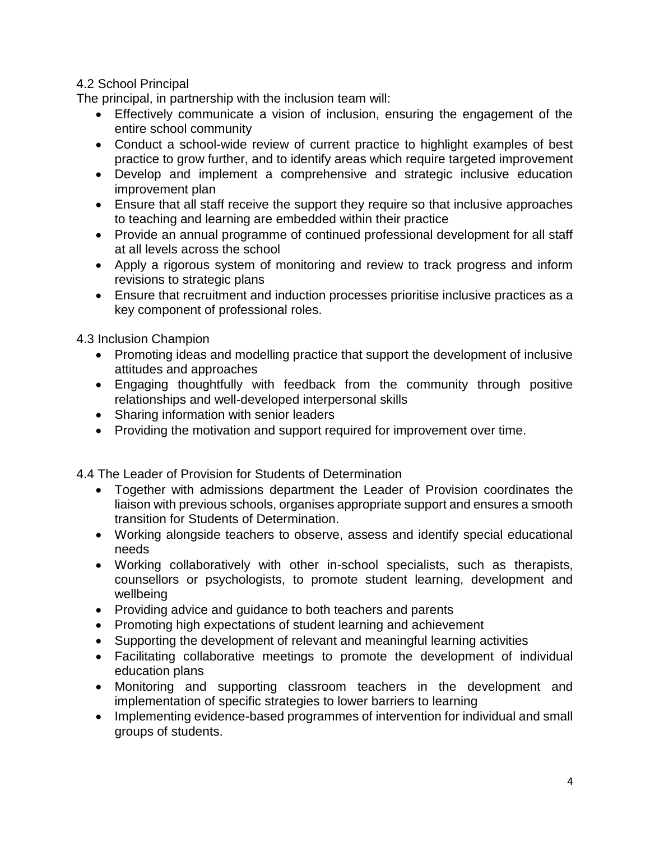### 4.2 School Principal

The principal, in partnership with the inclusion team will:

- Effectively communicate a vision of inclusion, ensuring the engagement of the entire school community
- Conduct a school-wide review of current practice to highlight examples of best practice to grow further, and to identify areas which require targeted improvement
- Develop and implement a comprehensive and strategic inclusive education improvement plan
- Ensure that all staff receive the support they require so that inclusive approaches to teaching and learning are embedded within their practice
- Provide an annual programme of continued professional development for all staff at all levels across the school
- Apply a rigorous system of monitoring and review to track progress and inform revisions to strategic plans
- Ensure that recruitment and induction processes prioritise inclusive practices as a key component of professional roles.

4.3 Inclusion Champion

- Promoting ideas and modelling practice that support the development of inclusive attitudes and approaches
- Engaging thoughtfully with feedback from the community through positive relationships and well-developed interpersonal skills
- Sharing information with senior leaders
- Providing the motivation and support required for improvement over time.

4.4 The Leader of Provision for Students of Determination

- Together with admissions department the Leader of Provision coordinates the liaison with previous schools, organises appropriate support and ensures a smooth transition for Students of Determination.
- Working alongside teachers to observe, assess and identify special educational needs
- Working collaboratively with other in-school specialists, such as therapists, counsellors or psychologists, to promote student learning, development and wellbeing
- Providing advice and guidance to both teachers and parents
- Promoting high expectations of student learning and achievement
- Supporting the development of relevant and meaningful learning activities
- Facilitating collaborative meetings to promote the development of individual education plans
- Monitoring and supporting classroom teachers in the development and implementation of specific strategies to lower barriers to learning
- Implementing evidence-based programmes of intervention for individual and small groups of students.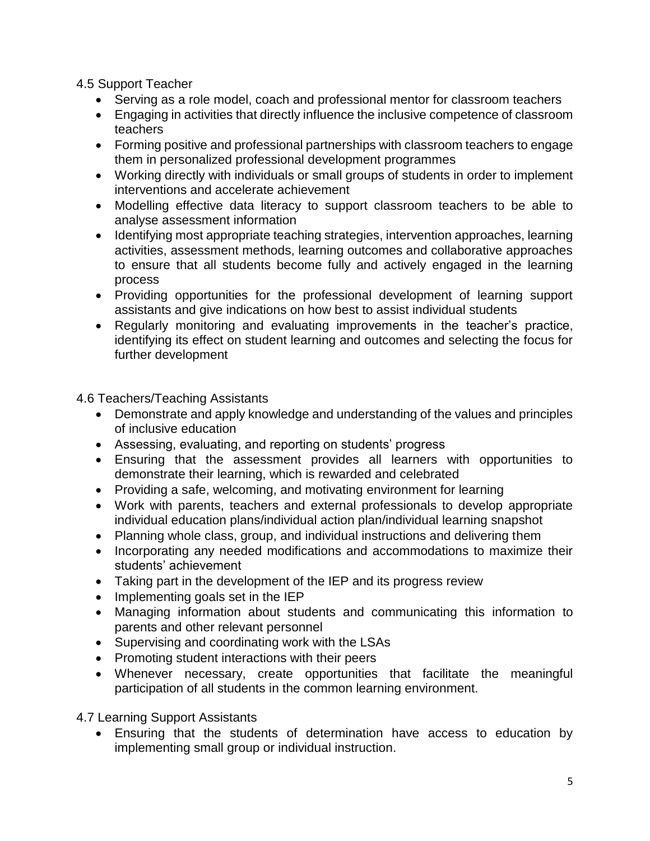4.5 Support Teacher

- Serving as a role model, coach and professional mentor for classroom teachers
- Engaging in activities that directly influence the inclusive competence of classroom teachers
- Forming positive and professional partnerships with classroom teachers to engage them in personalized professional development programmes
- Working directly with individuals or small groups of students in order to implement interventions and accelerate achievement
- Modelling effective data literacy to support classroom teachers to be able to analyse assessment information
- Identifying most appropriate teaching strategies, intervention approaches, learning activities, assessment methods, learning outcomes and collaborative approaches to ensure that all students become fully and actively engaged in the learning process
- Providing opportunities for the professional development of learning support assistants and give indications on how best to assist individual students
- Regularly monitoring and evaluating improvements in the teacher's practice, identifying its effect on student learning and outcomes and selecting the focus for further development

4.6 Teachers/Teaching Assistants

- Demonstrate and apply knowledge and understanding of the values and principles of inclusive education
- Assessing, evaluating, and reporting on students' progress
- Ensuring that the assessment provides all learners with opportunities to demonstrate their learning, which is rewarded and celebrated
- Providing a safe, welcoming, and motivating environment for learning
- Work with parents, teachers and external professionals to develop appropriate individual education plans/individual action plan/individual learning snapshot
- Planning whole class, group, and individual instructions and delivering them
- Incorporating any needed modifications and accommodations to maximize their students' achievement
- Taking part in the development of the IEP and its progress review
- $\bullet$  Implementing goals set in the IEP
- Managing information about students and communicating this information to parents and other relevant personnel
- Supervising and coordinating work with the LSAs
- Promoting student interactions with their peers
- Whenever necessary, create opportunities that facilitate the meaningful participation of all students in the common learning environment.

4.7 Learning Support Assistants

 Ensuring that the students of determination have access to education by implementing small group or individual instruction.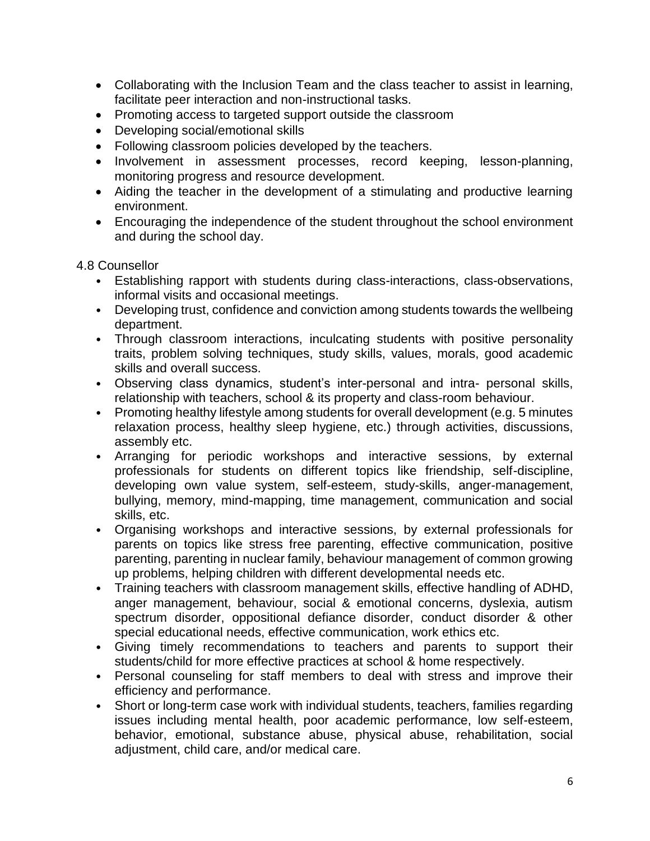- Collaborating with the Inclusion Team and the class teacher to assist in learning, facilitate peer interaction and non-instructional tasks.
- Promoting access to targeted support outside the classroom
- Developing social/emotional skills
- Following classroom policies developed by the teachers.
- Involvement in assessment processes, record keeping, lesson-planning, monitoring progress and resource development.
- Aiding the teacher in the development of a stimulating and productive learning environment.
- Encouraging the independence of the student throughout the school environment and during the school day.

### 4.8 Counsellor

- Establishing rapport with students during class-interactions, class-observations, informal visits and occasional meetings.
- Developing trust, confidence and conviction among students towards the wellbeing department.
- Through classroom interactions, inculcating students with positive personality traits, problem solving techniques, study skills, values, morals, good academic skills and overall success.
- Observing class dynamics, student's inter-personal and intra- personal skills, relationship with teachers, school & its property and class-room behaviour.
- Promoting healthy lifestyle among students for overall development (e.g. 5 minutes relaxation process, healthy sleep hygiene, etc.) through activities, discussions, assembly etc.
- Arranging for periodic workshops and interactive sessions, by external professionals for students on different topics like friendship, self-discipline, developing own value system, self-esteem, study-skills, anger-management, bullying, memory, mind-mapping, time management, communication and social skills, etc.
- Organising workshops and interactive sessions, by external professionals for parents on topics like stress free parenting, effective communication, positive parenting, parenting in nuclear family, behaviour management of common growing up problems, helping children with different developmental needs etc.
- Training teachers with classroom management skills, effective handling of ADHD, anger management, behaviour, social & emotional concerns, dyslexia, autism spectrum disorder, oppositional defiance disorder, conduct disorder & other special educational needs, effective communication, work ethics etc.
- Giving timely recommendations to teachers and parents to support their students/child for more effective practices at school & home respectively.
- Personal counseling for staff members to deal with stress and improve their efficiency and performance.
- Short or long-term case work with individual students, teachers, families regarding issues including mental health, poor academic performance, low self-esteem, behavior, emotional, substance abuse, physical abuse, rehabilitation, social adjustment, child care, and/or medical care.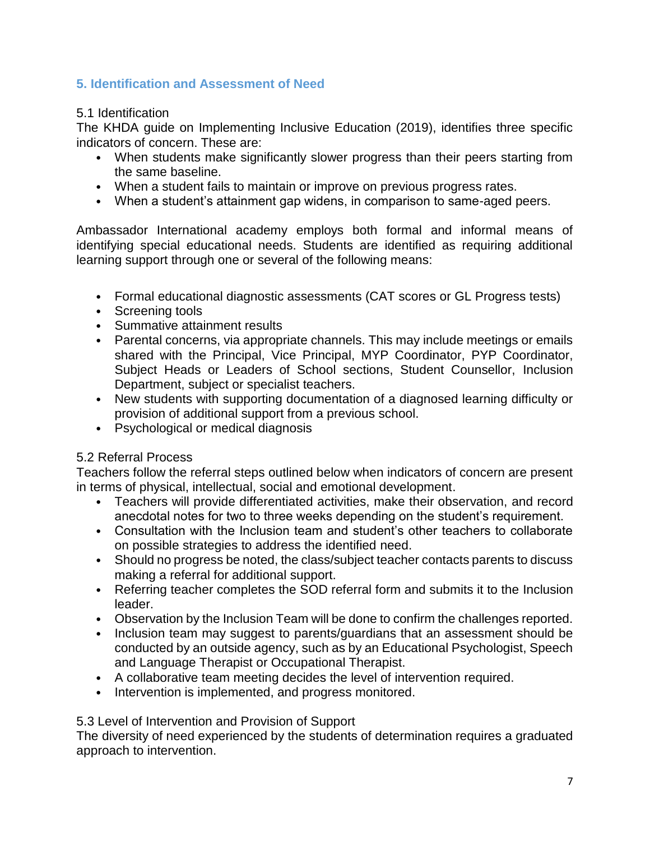# **5. Identification and Assessment of Need**

### 5.1 Identification

The KHDA guide on Implementing Inclusive Education (2019), identifies three specific indicators of concern. These are:

- When students make significantly slower progress than their peers starting from the same baseline.
- When a student fails to maintain or improve on previous progress rates.
- When a student's attainment gap widens, in comparison to same-aged peers.

Ambassador International academy employs both formal and informal means of identifying special educational needs. Students are identified as requiring additional learning support through one or several of the following means:

- Formal educational diagnostic assessments (CAT scores or GL Progress tests)
- Screening tools
- Summative attainment results
- Parental concerns, via appropriate channels. This may include meetings or emails shared with the Principal, Vice Principal, MYP Coordinator, PYP Coordinator, Subject Heads or Leaders of School sections, Student Counsellor, Inclusion Department, subject or specialist teachers.
- New students with supporting documentation of a diagnosed learning difficulty or provision of additional support from a previous school.
- Psychological or medical diagnosis

### 5.2 Referral Process

Teachers follow the referral steps outlined below when indicators of concern are present in terms of physical, intellectual, social and emotional development.

- Teachers will provide differentiated activities, make their observation, and record anecdotal notes for two to three weeks depending on the student's requirement.
- Consultation with the Inclusion team and student's other teachers to collaborate on possible strategies to address the identified need.
- Should no progress be noted, the class/subject teacher contacts parents to discuss making a referral for additional support.
- Referring teacher completes the SOD referral form and submits it to the Inclusion leader.
- Observation by the Inclusion Team will be done to confirm the challenges reported.
- Inclusion team may suggest to parents/guardians that an assessment should be conducted by an outside agency, such as by an Educational Psychologist, Speech and Language Therapist or Occupational Therapist.
- A collaborative team meeting decides the level of intervention required.
- Intervention is implemented, and progress monitored.

### 5.3 Level of Intervention and Provision of Support

The diversity of need experienced by the students of determination requires a graduated approach to intervention.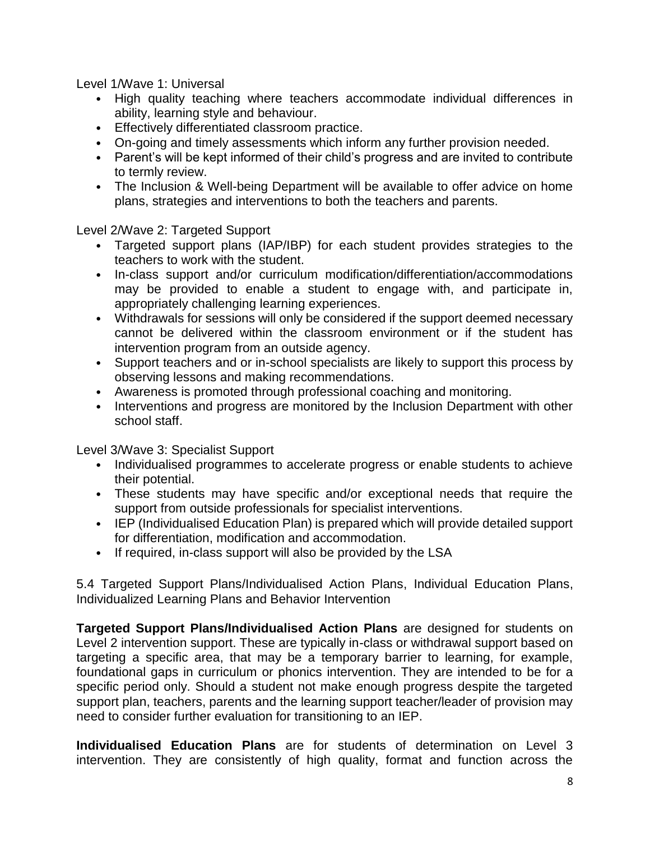Level 1/Wave 1: Universal

- High quality teaching where teachers accommodate individual differences in ability, learning style and behaviour.
- Effectively differentiated classroom practice.
- On-going and timely assessments which inform any further provision needed.
- Parent's will be kept informed of their child's progress and are invited to contribute to termly review.
- The Inclusion & Well-being Department will be available to offer advice on home plans, strategies and interventions to both the teachers and parents.

Level 2/Wave 2: Targeted Support

- Targeted support plans (IAP/IBP) for each student provides strategies to the teachers to work with the student.
- In-class support and/or curriculum modification/differentiation/accommodations may be provided to enable a student to engage with, and participate in, appropriately challenging learning experiences.
- Withdrawals for sessions will only be considered if the support deemed necessary cannot be delivered within the classroom environment or if the student has intervention program from an outside agency.
- Support teachers and or in-school specialists are likely to support this process by observing lessons and making recommendations.
- Awareness is promoted through professional coaching and monitoring.
- Interventions and progress are monitored by the Inclusion Department with other school staff.

Level 3/Wave 3: Specialist Support

- Individualised programmes to accelerate progress or enable students to achieve their potential.
- These students may have specific and/or exceptional needs that require the support from outside professionals for specialist interventions.
- IEP (Individualised Education Plan) is prepared which will provide detailed support for differentiation, modification and accommodation.
- If required, in-class support will also be provided by the LSA

5.4 Targeted Support Plans/Individualised Action Plans, Individual Education Plans, Individualized Learning Plans and Behavior Intervention

**Targeted Support Plans/Individualised Action Plans** are designed for students on Level 2 intervention support. These are typically in-class or withdrawal support based on targeting a specific area, that may be a temporary barrier to learning, for example, foundational gaps in curriculum or phonics intervention. They are intended to be for a specific period only. Should a student not make enough progress despite the targeted support plan, teachers, parents and the learning support teacher/leader of provision may need to consider further evaluation for transitioning to an IEP.

**Individualised Education Plans** are for students of determination on Level 3 intervention. They are consistently of high quality, format and function across the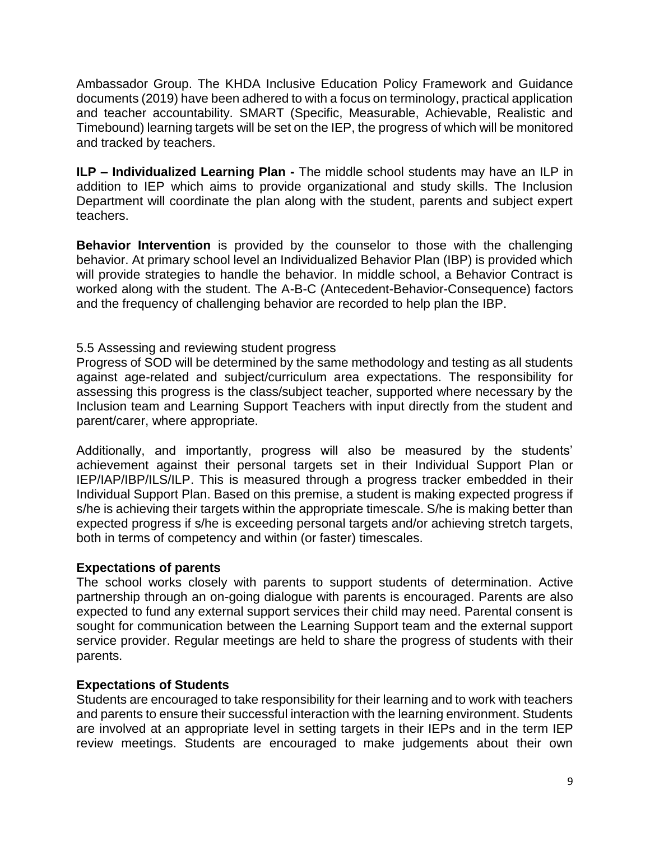Ambassador Group. The KHDA Inclusive Education Policy Framework and Guidance documents (2019) have been adhered to with a focus on terminology, practical application and teacher accountability. SMART (Specific, Measurable, Achievable, Realistic and Timebound) learning targets will be set on the IEP, the progress of which will be monitored and tracked by teachers.

**ILP – Individualized Learning Plan -** The middle school students may have an ILP in addition to IEP which aims to provide organizational and study skills. The Inclusion Department will coordinate the plan along with the student, parents and subject expert teachers.

**Behavior Intervention** is provided by the counselor to those with the challenging behavior. At primary school level an Individualized Behavior Plan (IBP) is provided which will provide strategies to handle the behavior. In middle school, a Behavior Contract is worked along with the student. The A-B-C (Antecedent-Behavior-Consequence) factors and the frequency of challenging behavior are recorded to help plan the IBP.

### 5.5 Assessing and reviewing student progress

Progress of SOD will be determined by the same methodology and testing as all students against age-related and subject/curriculum area expectations. The responsibility for assessing this progress is the class/subject teacher, supported where necessary by the Inclusion team and Learning Support Teachers with input directly from the student and parent/carer, where appropriate.

Additionally, and importantly, progress will also be measured by the students' achievement against their personal targets set in their Individual Support Plan or IEP/IAP/IBP/ILS/ILP. This is measured through a progress tracker embedded in their Individual Support Plan. Based on this premise, a student is making expected progress if s/he is achieving their targets within the appropriate timescale. S/he is making better than expected progress if s/he is exceeding personal targets and/or achieving stretch targets, both in terms of competency and within (or faster) timescales.

### **Expectations of parents**

The school works closely with parents to support students of determination. Active partnership through an on-going dialogue with parents is encouraged. Parents are also expected to fund any external support services their child may need. Parental consent is sought for communication between the Learning Support team and the external support service provider. Regular meetings are held to share the progress of students with their parents.

### **Expectations of Students**

Students are encouraged to take responsibility for their learning and to work with teachers and parents to ensure their successful interaction with the learning environment. Students are involved at an appropriate level in setting targets in their IEPs and in the term IEP review meetings. Students are encouraged to make judgements about their own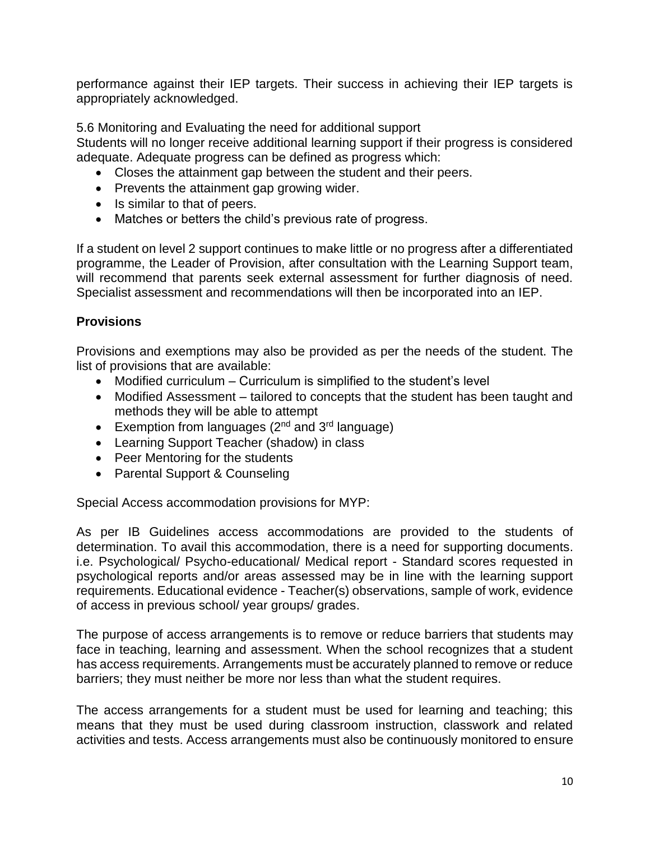performance against their IEP targets. Their success in achieving their IEP targets is appropriately acknowledged.

5.6 Monitoring and Evaluating the need for additional support

Students will no longer receive additional learning support if their progress is considered adequate. Adequate progress can be defined as progress which:

- Closes the attainment gap between the student and their peers.
- Prevents the attainment gap growing wider.
- Is similar to that of peers.
- Matches or betters the child's previous rate of progress.

If a student on level 2 support continues to make little or no progress after a differentiated programme, the Leader of Provision, after consultation with the Learning Support team, will recommend that parents seek external assessment for further diagnosis of need. Specialist assessment and recommendations will then be incorporated into an IEP.

# **Provisions**

Provisions and exemptions may also be provided as per the needs of the student. The list of provisions that are available:

- Modified curriculum Curriculum is simplified to the student's level
- Modified Assessment tailored to concepts that the student has been taught and methods they will be able to attempt
- Exemption from languages  $(2^{nd}$  and  $3^{rd}$  language)
- Learning Support Teacher (shadow) in class
- Peer Mentoring for the students
- Parental Support & Counseling

Special Access accommodation provisions for MYP:

As per IB Guidelines access accommodations are provided to the students of determination. To avail this accommodation, there is a need for supporting documents. i.e. Psychological/ Psycho-educational/ Medical report - Standard scores requested in psychological reports and/or areas assessed may be in line with the learning support requirements. Educational evidence - Teacher(s) observations, sample of work, evidence of access in previous school/ year groups/ grades.

The purpose of access arrangements is to remove or reduce barriers that students may face in teaching, learning and assessment. When the school recognizes that a student has access requirements. Arrangements must be accurately planned to remove or reduce barriers; they must neither be more nor less than what the student requires.

The access arrangements for a student must be used for learning and teaching; this means that they must be used during classroom instruction, classwork and related activities and tests. Access arrangements must also be continuously monitored to ensure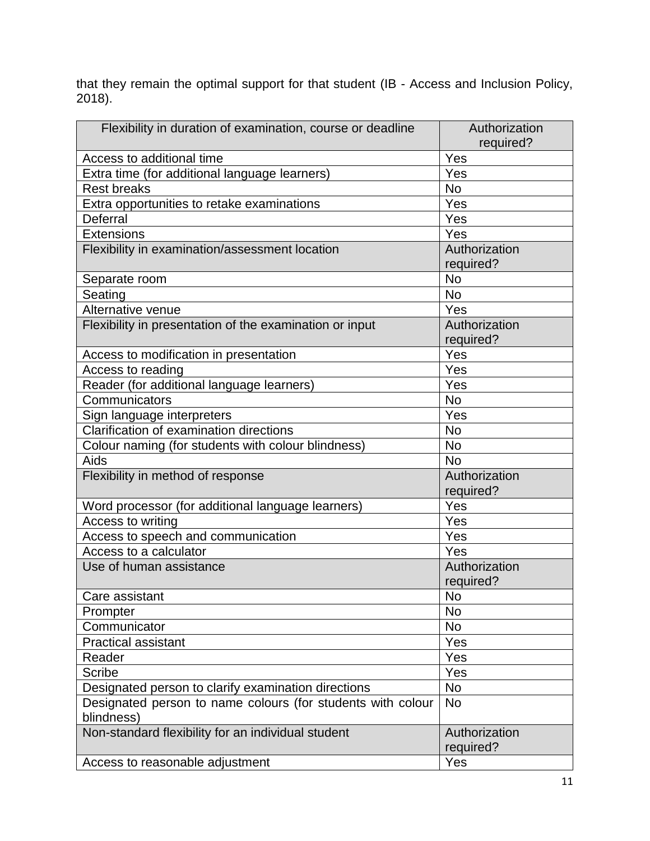that they remain the optimal support for that student (IB - Access and Inclusion Policy, 2018).

| Flexibility in duration of examination, course or deadline  | Authorization |
|-------------------------------------------------------------|---------------|
|                                                             | required?     |
| Access to additional time                                   | Yes           |
| Extra time (for additional language learners)               | Yes           |
| <b>Rest breaks</b>                                          | <b>No</b>     |
| Extra opportunities to retake examinations                  | Yes           |
| Deferral                                                    | Yes           |
| Extensions                                                  | Yes           |
| Flexibility in examination/assessment location              | Authorization |
|                                                             | required?     |
| Separate room                                               | <b>No</b>     |
| Seating                                                     | <b>No</b>     |
| Alternative venue                                           | Yes           |
| Flexibility in presentation of the examination or input     | Authorization |
|                                                             | required?     |
| Access to modification in presentation                      | Yes           |
| Access to reading                                           | Yes           |
| Reader (for additional language learners)                   | Yes           |
| Communicators                                               | <b>No</b>     |
| Sign language interpreters                                  | Yes           |
| Clarification of examination directions                     | <b>No</b>     |
| Colour naming (for students with colour blindness)          | <b>No</b>     |
| Aids                                                        | <b>No</b>     |
| Flexibility in method of response                           | Authorization |
|                                                             | required?     |
| Word processor (for additional language learners)           | Yes           |
| Access to writing                                           | Yes           |
| Access to speech and communication                          | Yes           |
| Access to a calculator                                      | Yes           |
| Use of human assistance                                     | Authorization |
|                                                             | required?     |
| Care assistant                                              | No            |
| Prompter                                                    | No            |
| Communicator                                                | No            |
| <b>Practical assistant</b>                                  | Yes           |
| Reader                                                      | Yes           |
| <b>Scribe</b>                                               | Yes           |
| Designated person to clarify examination directions         | <b>No</b>     |
| Designated person to name colours (for students with colour | <b>No</b>     |
| blindness)                                                  |               |
| Non-standard flexibility for an individual student          | Authorization |
|                                                             | required?     |
| Access to reasonable adjustment                             | Yes           |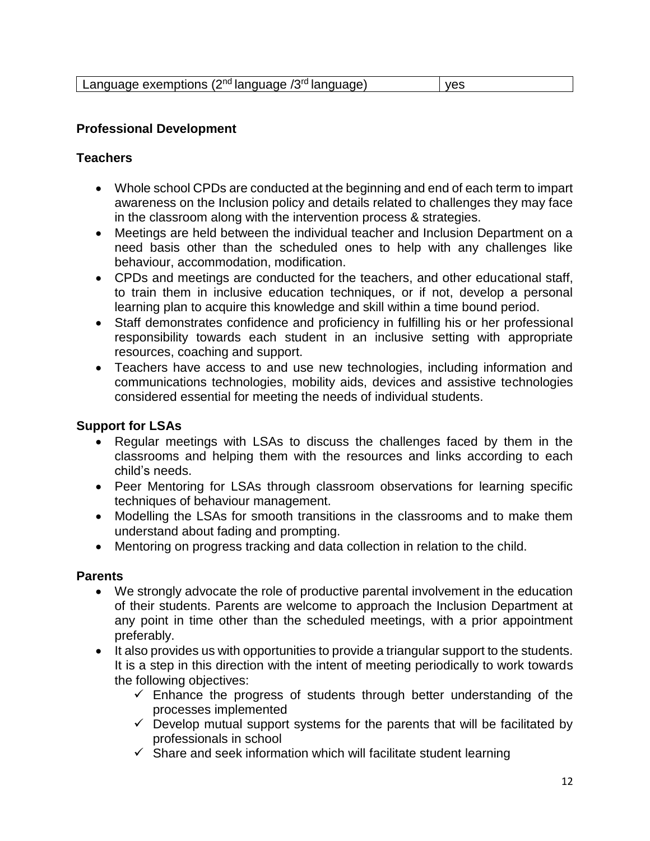| Language exemptions $(2^{nd})$ language $/3^{rd}$ language) | ves |
|-------------------------------------------------------------|-----|
|-------------------------------------------------------------|-----|

### **Professional Development**

### **Teachers**

- Whole school CPDs are conducted at the beginning and end of each term to impart awareness on the Inclusion policy and details related to challenges they may face in the classroom along with the intervention process & strategies.
- Meetings are held between the individual teacher and Inclusion Department on a need basis other than the scheduled ones to help with any challenges like behaviour, accommodation, modification.
- CPDs and meetings are conducted for the teachers, and other educational staff, to train them in inclusive education techniques, or if not, develop a personal learning plan to acquire this knowledge and skill within a time bound period.
- Staff demonstrates confidence and proficiency in fulfilling his or her professional responsibility towards each student in an inclusive setting with appropriate resources, coaching and support.
- Teachers have access to and use new technologies, including information and communications technologies, mobility aids, devices and assistive technologies considered essential for meeting the needs of individual students.

### **Support for LSAs**

- Regular meetings with LSAs to discuss the challenges faced by them in the classrooms and helping them with the resources and links according to each child's needs.
- Peer Mentoring for LSAs through classroom observations for learning specific techniques of behaviour management.
- Modelling the LSAs for smooth transitions in the classrooms and to make them understand about fading and prompting.
- Mentoring on progress tracking and data collection in relation to the child.

### **Parents**

- We strongly advocate the role of productive parental involvement in the education of their students. Parents are welcome to approach the Inclusion Department at any point in time other than the scheduled meetings, with a prior appointment preferably.
- It also provides us with opportunities to provide a triangular support to the students. It is a step in this direction with the intent of meeting periodically to work towards the following objectives:
	- $\checkmark$  Enhance the progress of students through better understanding of the processes implemented
	- $\checkmark$  Develop mutual support systems for the parents that will be facilitated by professionals in school
	- $\checkmark$  Share and seek information which will facilitate student learning